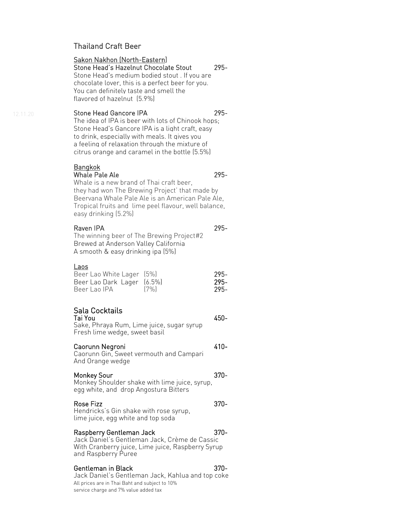# Thailand Craft Beer

# Sakon Nakhon (North-Eastern)

Stone Head's Hazelnut Chocolate Stout 295-

Stone Head's medium bodied stout . If you are chocolate lover, this is a perfect beer for you. You can definitely taste and smell the flavored of hazelnut (5.9%)

Stone Head Gancore IPA 295-The idea of IPA is beer with lots of Chinook hops; Stone Head's Gancore IPA is a light craft, easy to drink, especially with meals. It gives you a feeling of relaxation through the mixture of citrus orange and caramel in the bottle (5.5%)

# **Bangkok**

# Whale Pale Ale 295-

Whale is a new brand of Thai craft beer, they had won The Brewing Project' that made by Beervana Whale Pale Ale is an American Pale Ale, Tropical fruits and lime peel flavour, well balance, easy drinking (5.2%)

# Raven IPA 295-

The winning beer of The Brewing Project#2 Brewed at Anderson Valley California A smooth & easy drinking ipa (5%)

# Laos

| Beer Lao White Lager (5%)  |      | -295- |
|----------------------------|------|-------|
| Beer Lao Dark Lager (6.5%) |      | -295- |
| Beer Lao IPA               | (7%) | 295-  |

# $\overline{a}$ Sala Cocktails

Tai You 450- Sake, Phraya Rum, Lime juice, sugar syrup Fresh lime wedge, sweet basil

# Caorunn Negroni 410-

Caorunn Gin, Sweet vermouth and Campari And Orange wedge

# Monkey Sour 370-

Monkey Shoulder shake with lime juice, syrup, egg white, and drop Angostura Bitters

# Rose Fizz 370-

Hendricks's Gin shake with rose syrup, lime juice, egg white and top soda

# Raspberry Gentleman Jack 370-

Jack Daniel's Gentleman Jack, Crème de Cassic With Cranberry juice, Lime juice, Raspberry Syrup and Raspberry Puree

# Gentleman in Black 370-

All prices are in Thai Baht and subject to 10% service charge and 7% value added tax Jack Daniel's Gentleman Jack, Kahlua and top coke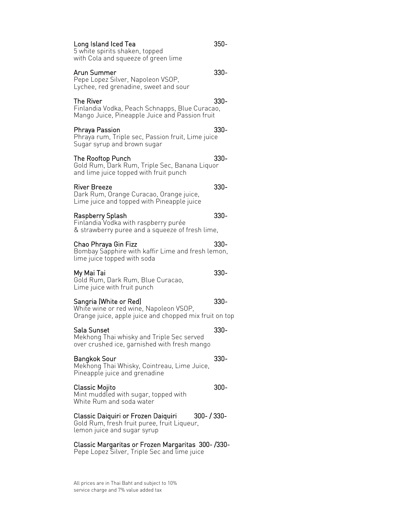# All prices are in Thai Baht and subject to 10% service charge and 7% value added tax

Mint muddled with sugar, topped with

White Rum and soda water

### Classic Daiquiri or Frozen Daiquiri 300- / 330- Gold Rum, fresh fruit puree, fruit Liqueur, lemon juice and sugar syrup

# Classic Margaritas or Frozen Margaritas 300- /330-

Pepe Lopez Silver, Triple Sec and lime juice

Bangkok Sour 330-Mekhong Thai Whisky, Cointreau, Lime Juice, Pineapple juice and grenadine

Classic Mojito 300-

Mekhong Thai whisky and Triple Sec served over crushed ice, garnished with fresh mango

# Orange juice, apple juice and chopped mix fruit on top

lime juice topped with soda My Mai Tai 330-

Gold Rum, Dark Rum, Blue Curacao, Lime juice with fruit punch

Sangria (White or Red) 330-White wine or red wine, Napoleon VSOP,

# Chao Phraya Gin Fizz 330- Bombay Sapphire with kaffir Lime and fresh lemon,

& strawberry puree and a squeeze of fresh lime,

# Raspberry Splash 330- Finlandia Vodka with raspberry purée

Lime juice and topped with Pineapple juice

River Breeze 330-Dark Rum, Orange Curacao, Orange juice,

and lime juice topped with fruit punch

# The Rooftop Punch 330-Gold Rum, Dark Rum, Triple Sec, Banana Liquor

Arun Summer 330-

Mango Juice, Pineapple Juice and Passion fruit

Phraya Passion 330- Phraya rum, Triple sec, Passion fruit, Lime juice

Sugar syrup and brown sugar

5 white spirits shaken, topped with Cola and squeeze of green lime

Pepe Lopez Silver, Napoleon VSOP, Lychee, red grenadine, sweet and sour

Sala Sunset 330-

### The River and the state of the S30-Finlandia Vodka, Peach Schnapps, Blue Curacao,

Long Island Iced Tea 350-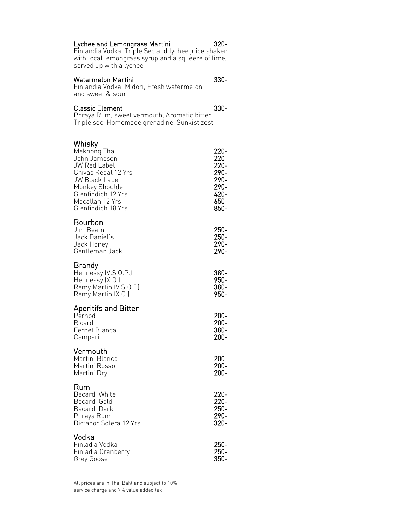## Lychee and Lemongrass Martini 320-

Finlandia Vodka, Triple Sec and lychee juice shaken with local lemongrass syrup and a squeeze of lime, served up with a lychee

# Watermelon Martini 330-

Finlandia Vodka, Midori, Fresh watermelon and sweet & sour

## Classic Element 330-

Phraya Rum, sweet vermouth, Aromatic bitter Triple sec, Homemade grenadine, Sunkist zest

## $\overline{a}$ Whisky

| Mekhong Thai<br>John Jameson<br>JW Red Label<br>Chivas Regal 12 Yrs<br>JW Black Label<br>Monkey Shoulder<br>Glenfiddich 12 Yrs<br>Macallan 12 Yrs<br>Glenfiddich 18 Yrs | $220 -$<br>220-<br>220-<br>290-<br>290-<br>290-<br>420-<br>650-<br>850- |
|-------------------------------------------------------------------------------------------------------------------------------------------------------------------------|-------------------------------------------------------------------------|
| Bourbon<br>Jim Beam<br>Jack Daniel's<br>Jack Honey<br>Gentleman Jack                                                                                                    | 250-<br>250-<br>290-<br>290-                                            |
| Brandy<br>Hennessy (V.S.O.P.)<br>Hennessy (X.O.)<br>Remy Martin (V.S.O.P)<br>Remy Martin (X.O.)                                                                         | 380-<br>950-<br>380-<br>950-                                            |
| Aperitifs and Bitter<br>Pernod<br>Ricard<br>Fernet Blanca<br>Campari                                                                                                    | $200 -$<br>$200 -$<br>380-<br>$200 -$                                   |
| Vermouth<br>Martini Blanco<br>Martini Rosso<br>Martini Dry                                                                                                              | $200 -$<br>200-<br>200-                                                 |
| Rum<br>Bacardi White<br>Bacardi Gold<br>Bacardi Dark<br>Phraya Rum<br>Dictador Solera 12 Yrs                                                                            | $220 -$<br>220-<br>250-<br>290-<br>320-                                 |
| Vodka<br>Finladia Vodka<br>Finladia Cranberry<br>Grey Goose                                                                                                             | $250 -$<br>250-<br>350-                                                 |

All prices are in Thai Baht and subject to 10% service charge and 7% value added tax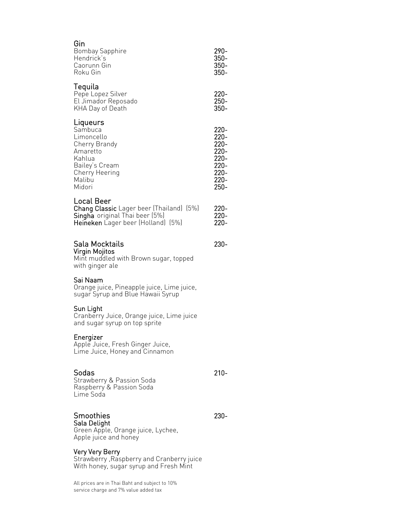| Gin<br>Bombay Sapphire<br>Hendrick's<br>Caorunn Gin<br>Roku Gin                                                                       | 290-<br>$350 -$<br>$350 -$<br>$350 -$                                   |
|---------------------------------------------------------------------------------------------------------------------------------------|-------------------------------------------------------------------------|
| Tequila<br>Pepe Lopez Silver<br>El Jimador Reposado<br>KHA Day of Death                                                               | $220 -$<br>$250 -$<br>$350 -$                                           |
| Liqueurs<br>Sambuca<br>Limoncello<br>Cherry Brandy<br>Amaretto<br>Kahlua<br>Bailey's Cream<br>Cherry Heering<br>Malibu<br>Midori      | 220-<br>220-<br>220-<br>220-<br>$220 -$<br>220-<br>220-<br>220-<br>250- |
| Local Beer<br><b>Chang Classic</b> Lager beer (Thailand) (5%)<br>Singha original Thai beer (5%)<br>Heineken Lager beer (Holland) (5%) | $220 -$<br>$220 -$<br>220-                                              |
| Sala Mocktails<br>Virgin Mojitos<br>Mint muddled with Brown sugar, topped<br>with ginger ale                                          | 230-                                                                    |
| Sai Naam<br>Orange juice, Pineapple juice, Lime juice,<br>sugar Syrup and Blue Hawaii Syrup                                           |                                                                         |
| Sun Light<br>Cranberry Juice, Orange juice, Lime juice<br>and sugar syrup on top sprite                                               |                                                                         |
| Energizer<br>Apple Juice, Fresh Ginger Juice,<br>Lime Juice, Honey and Cinnamon                                                       |                                                                         |
| Sodas<br>Strawberry & Passion Soda<br>Raspberry & Passion Soda<br>Lime Soda                                                           | $210 -$                                                                 |
| Smoothies<br>Sala Delight<br>Green Apple, Orange juice, Lychee,<br>Apple juice and honey                                              | 230-                                                                    |

## Very Very Berry

Strawberry ,Raspberry and Cranberry juice With honey, sugar syrup and Fresh Mint

All prices are in Thai Baht and subject to 10% service charge and 7% value added tax